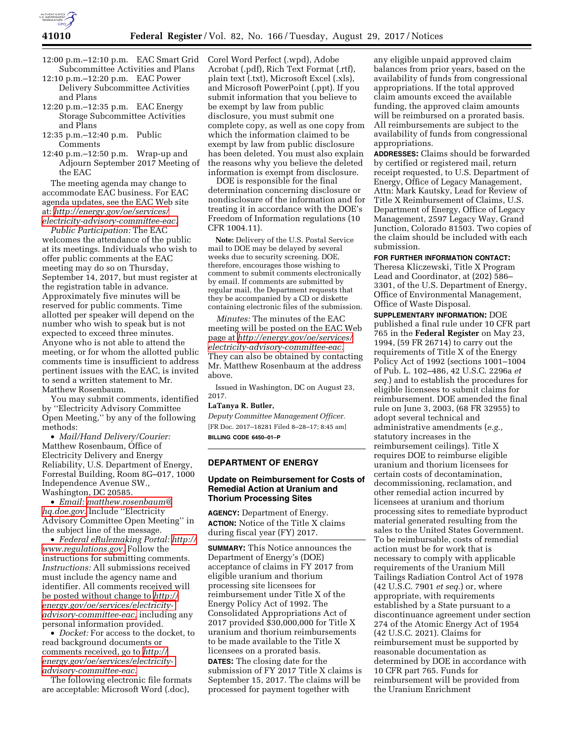

- 12:00 p.m.–12:10 p.m. EAC Smart Grid Subcommittee Activities and Plans
- 12:10 p.m.–12:20 p.m. EAC Power Delivery Subcommittee Activities and Plans
- 12:20 p.m.–12:35 p.m. EAC Energy Storage Subcommittee Activities and Plans
- 12:35 p.m.–12:40 p.m. Public Comments
- 12:40 p.m.–12:50 p.m. Wrap-up and Adjourn September 2017 Meeting of the EAC

The meeting agenda may change to accommodate EAC business. For EAC agenda updates, see the EAC Web site at: *[http://energy.gov/oe/services/](http://energy.gov/oe/services/electricity-advisory-committee-eac) [electricity-advisory-committee-eac.](http://energy.gov/oe/services/electricity-advisory-committee-eac)* 

*Public Participation:* The EAC welcomes the attendance of the public at its meetings. Individuals who wish to offer public comments at the EAC meeting may do so on Thursday, September 14, 2017, but must register at the registration table in advance. Approximately five minutes will be reserved for public comments. Time allotted per speaker will depend on the number who wish to speak but is not expected to exceed three minutes. Anyone who is not able to attend the meeting, or for whom the allotted public comments time is insufficient to address pertinent issues with the EAC, is invited to send a written statement to Mr. Matthew Rosenbaum.

You may submit comments, identified by ''Electricity Advisory Committee Open Meeting,'' by any of the following methods:

• *Mail/Hand Delivery/Courier:*  Matthew Rosenbaum, Office of Electricity Delivery and Energy Reliability, U.S. Department of Energy, Forrestal Building, Room 8G–017, 1000 Independence Avenue SW., Washington, DC 20585.

• *Email: [matthew.rosenbaum@](mailto:matthew.rosenbaum@hq.doe.gov) [hq.doe.gov.](mailto:matthew.rosenbaum@hq.doe.gov)* Include ''Electricity Advisory Committee Open Meeting'' in the subject line of the message.

• *Federal eRulemaking Portal: [http://](http://www.regulations.gov)  [www.regulations.gov.](http://www.regulations.gov)* Follow the instructions for submitting comments. *Instructions:* All submissions received must include the agency name and identifier. All comments received will be posted without change to *[http://](http://energy.gov/oe/services/electricity-advisory-committee-eac) [energy.gov/oe/services/electricity](http://energy.gov/oe/services/electricity-advisory-committee-eac)[advisory-committee-eac,](http://energy.gov/oe/services/electricity-advisory-committee-eac)* including any personal information provided.

• *Docket:* For access to the docket, to read background documents or comments received, go to *[http://](http://energy.gov/oe/services/electricity-advisory-committee-eac) [energy.gov/oe/services/electricity](http://energy.gov/oe/services/electricity-advisory-committee-eac)[advisory-committee-eac.](http://energy.gov/oe/services/electricity-advisory-committee-eac)* 

The following electronic file formats are acceptable: Microsoft Word (.doc),

Corel Word Perfect (.wpd), Adobe Acrobat (.pdf), Rich Text Format (.rtf), plain text (.txt), Microsoft Excel (.xls), and Microsoft PowerPoint (.ppt). If you submit information that you believe to be exempt by law from public disclosure, you must submit one complete copy, as well as one copy from which the information claimed to be exempt by law from public disclosure has been deleted. You must also explain the reasons why you believe the deleted information is exempt from disclosure.

DOE is responsible for the final determination concerning disclosure or nondisclosure of the information and for treating it in accordance with the DOE's Freedom of Information regulations (10 CFR 1004.11).

**Note:** Delivery of the U.S. Postal Service mail to DOE may be delayed by several weeks due to security screening. DOE, therefore, encourages those wishing to comment to submit comments electronically by email. If comments are submitted by regular mail, the Department requests that they be accompanied by a CD or diskette containing electronic files of the submission.

*Minutes:* The minutes of the EAC meeting will be posted on the EAC Web page at *[http://energy.gov/oe/services/](http://energy.gov/oe/services/electricity-advisory-committee-eac) [electricity-advisory-committee-eac.](http://energy.gov/oe/services/electricity-advisory-committee-eac)*  They can also be obtained by contacting Mr. Matthew Rosenbaum at the address above.

Issued in Washington, DC on August 23, 2017.

# **LaTanya R. Butler,**

*Deputy Committee Management Officer.*  [FR Doc. 2017–18281 Filed 8–28–17; 8:45 am] **BILLING CODE 6450–01–P** 

## **DEPARTMENT OF ENERGY**

## **Update on Reimbursement for Costs of Remedial Action at Uranium and Thorium Processing Sites**

**AGENCY:** Department of Energy. **ACTION:** Notice of the Title X claims during fiscal year (FY) 2017.

**SUMMARY:** This Notice announces the Department of Energy's (DOE) acceptance of claims in FY 2017 from eligible uranium and thorium processing site licensees for reimbursement under Title X of the Energy Policy Act of 1992. The Consolidated Appropriations Act of 2017 provided \$30,000,000 for Title X uranium and thorium reimbursements to be made available to the Title X licensees on a prorated basis. **DATES:** The closing date for the submission of FY 2017 Title X claims is September 15, 2017. The claims will be processed for payment together with

any eligible unpaid approved claim balances from prior years, based on the availability of funds from congressional appropriations. If the total approved claim amounts exceed the available funding, the approved claim amounts will be reimbursed on a prorated basis. All reimbursements are subject to the availability of funds from congressional appropriations.

**ADDRESSES:** Claims should be forwarded by certified or registered mail, return receipt requested, to U.S. Department of Energy, Office of Legacy Management, Attn: Mark Kautsky, Lead for Review of Title X Reimbursement of Claims, U.S. Department of Energy, Office of Legacy Management, 2597 Legacy Way, Grand Junction, Colorado 81503. Two copies of the claim should be included with each submission.

## **FOR FURTHER INFORMATION CONTACT:**

Theresa Kliczewski, Title X Program Lead and Coordinator, at (202) 586– 3301, of the U.S. Department of Energy, Office of Environmental Management, Office of Waste Disposal.

**SUPPLEMENTARY INFORMATION:** DOE published a final rule under 10 CFR part 765 in the **Federal Register** on May 23, 1994, (59 FR 26714) to carry out the requirements of Title X of the Energy Policy Act of 1992 (sections 1001–1004 of Pub. L. 102–486, 42 U.S.C. 2296a *et seq.*) and to establish the procedures for eligible licensees to submit claims for reimbursement. DOE amended the final rule on June 3, 2003, (68 FR 32955) to adopt several technical and administrative amendments (*e.g.,*  statutory increases in the reimbursement ceilings). Title X requires DOE to reimburse eligible uranium and thorium licensees for certain costs of decontamination, decommissioning, reclamation, and other remedial action incurred by licensees at uranium and thorium processing sites to remediate byproduct material generated resulting from the sales to the United States Government. To be reimbursable, costs of remedial action must be for work that is necessary to comply with applicable requirements of the Uranium Mill Tailings Radiation Control Act of 1978 (42 U.S.C. 7901 *et seq.*) or, where appropriate, with requirements established by a State pursuant to a discontinuance agreement under section 274 of the Atomic Energy Act of 1954 (42 U.S.C. 2021). Claims for reimbursement must be supported by reasonable documentation as determined by DOE in accordance with 10 CFR part 765. Funds for reimbursement will be provided from the Uranium Enrichment